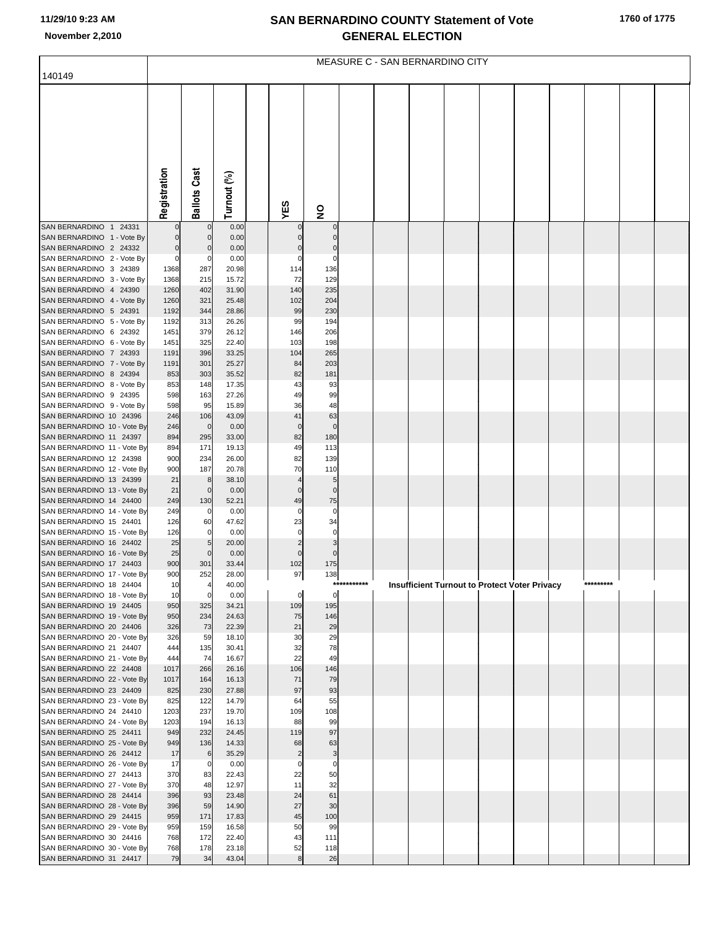| 1760 of 1775 |  |
|--------------|--|
|--------------|--|

|                                                        | MEASURE C - SAN BERNARDINO CITY |                     |                |  |                |               |             |  |  |  |  |                                                      |           |  |  |
|--------------------------------------------------------|---------------------------------|---------------------|----------------|--|----------------|---------------|-------------|--|--|--|--|------------------------------------------------------|-----------|--|--|
| 140149                                                 |                                 |                     |                |  |                |               |             |  |  |  |  |                                                      |           |  |  |
|                                                        |                                 |                     |                |  |                |               |             |  |  |  |  |                                                      |           |  |  |
|                                                        |                                 |                     |                |  |                |               |             |  |  |  |  |                                                      |           |  |  |
|                                                        |                                 |                     |                |  |                |               |             |  |  |  |  |                                                      |           |  |  |
|                                                        |                                 |                     |                |  |                |               |             |  |  |  |  |                                                      |           |  |  |
|                                                        |                                 |                     |                |  |                |               |             |  |  |  |  |                                                      |           |  |  |
|                                                        |                                 |                     |                |  |                |               |             |  |  |  |  |                                                      |           |  |  |
|                                                        |                                 |                     |                |  |                |               |             |  |  |  |  |                                                      |           |  |  |
|                                                        |                                 |                     |                |  |                |               |             |  |  |  |  |                                                      |           |  |  |
|                                                        |                                 |                     |                |  |                |               |             |  |  |  |  |                                                      |           |  |  |
|                                                        |                                 |                     |                |  |                |               |             |  |  |  |  |                                                      |           |  |  |
|                                                        | Registration                    | <b>Ballots Cast</b> | Turnout (%)    |  | YES            | $\frac{1}{2}$ |             |  |  |  |  |                                                      |           |  |  |
| SAN BERNARDINO 1 24331                                 | 0                               | $\mathbf 0$         | 0.00           |  |                | 0             |             |  |  |  |  |                                                      |           |  |  |
| SAN BERNARDINO 1 - Vote By                             | 0                               | 0                   | 0.00           |  |                |               |             |  |  |  |  |                                                      |           |  |  |
| SAN BERNARDINO 2 24332                                 | $\overline{0}$                  | 0                   | 0.00           |  |                | 0             |             |  |  |  |  |                                                      |           |  |  |
| SAN BERNARDINO 2 - Vote By<br>SAN BERNARDINO 3 24389   | $\mathbf{0}$                    | 0                   | 0.00<br>20.98  |  | 0              | 0             |             |  |  |  |  |                                                      |           |  |  |
| SAN BERNARDINO 3 - Vote By                             | 1368<br>1368                    | 287<br>215          | 15.72          |  | 114<br>72      | 136<br>129    |             |  |  |  |  |                                                      |           |  |  |
| SAN BERNARDINO 4 24390                                 | 1260                            | 402                 | 31.90          |  | 140            | 235           |             |  |  |  |  |                                                      |           |  |  |
| SAN BERNARDINO 4 - Vote By                             | 1260                            | 321                 | 25.48          |  | 102            | 204           |             |  |  |  |  |                                                      |           |  |  |
| SAN BERNARDINO 5 24391                                 | 1192                            | 344                 | 28.86          |  | 99             | 230           |             |  |  |  |  |                                                      |           |  |  |
| SAN BERNARDINO 5 - Vote By                             | 1192                            | 313                 | 26.26          |  | 99             | 194           |             |  |  |  |  |                                                      |           |  |  |
| SAN BERNARDINO 6 24392<br>SAN BERNARDINO 6 - Vote By   | 1451<br>1451                    | 379<br>325          | 26.12<br>22.40 |  | 146<br>103     | 206<br>198    |             |  |  |  |  |                                                      |           |  |  |
| SAN BERNARDINO 7 24393                                 | 1191                            | 396                 | 33.25          |  | 104            | 265           |             |  |  |  |  |                                                      |           |  |  |
| SAN BERNARDINO 7 - Vote By                             | 1191                            | 301                 | 25.27          |  | 84             | 203           |             |  |  |  |  |                                                      |           |  |  |
| SAN BERNARDINO 8 24394                                 | 853                             | 303                 | 35.52          |  | 82             | 181           |             |  |  |  |  |                                                      |           |  |  |
| SAN BERNARDINO 8 - Vote By                             | 853                             | 148                 | 17.35          |  | 43             | 93            |             |  |  |  |  |                                                      |           |  |  |
| SAN BERNARDINO 9 24395                                 | 598                             | 163                 | 27.26          |  | 49             | 99            |             |  |  |  |  |                                                      |           |  |  |
| SAN BERNARDINO 9 - Vote By<br>SAN BERNARDINO 10 24396  | 598<br>246                      | 95<br>106           | 15.89<br>43.09 |  | 36<br>41       | 48<br>63      |             |  |  |  |  |                                                      |           |  |  |
| SAN BERNARDINO 10 - Vote By                            | 246                             | $\mathbf 0$         | 0.00           |  | 0              | $\mathbf 0$   |             |  |  |  |  |                                                      |           |  |  |
| SAN BERNARDINO 11 24397                                | 894                             | 295                 | 33.00          |  | 82             | 180           |             |  |  |  |  |                                                      |           |  |  |
| SAN BERNARDINO 11 - Vote By                            | 894                             | 171                 | 19.13          |  | 49             | 113           |             |  |  |  |  |                                                      |           |  |  |
| SAN BERNARDINO 12 24398                                | 900                             | 234                 | 26.00          |  | 82             | 139           |             |  |  |  |  |                                                      |           |  |  |
| SAN BERNARDINO 12 - Vote By                            | 900                             | 187                 | 20.78          |  | 70             | 110           |             |  |  |  |  |                                                      |           |  |  |
| SAN BERNARDINO 13 24399<br>SAN BERNARDINO 13 - Vote By | 21<br>21                        | 8<br>$\mathbf 0$    | 38.10<br>0.00  |  | 0              | 5<br>0        |             |  |  |  |  |                                                      |           |  |  |
| SAN BERNARDINO 14 24400                                | 249                             | 130                 | 52.21          |  | 49             | 75            |             |  |  |  |  |                                                      |           |  |  |
| SAN BERNARDINO 14 - Vote By                            | 249                             | 0                   | 0.00           |  | 0              | 0             |             |  |  |  |  |                                                      |           |  |  |
| SAN BERNARDINO 15 24401                                | 126                             | 60                  | 47.62          |  | 23             | 34            |             |  |  |  |  |                                                      |           |  |  |
| SAN BERNARDINO 15 - Vote By                            | 126                             | 0                   | 0.00           |  | 0              | 0             |             |  |  |  |  |                                                      |           |  |  |
| SAN BERNARDINO 16 24402<br>SAN BERNARDINO 16 - Vote By | 25<br>25                        | 5<br>$\mathbf 0$    | 20.00<br>0.00  |  | $\overline{2}$ | 3<br>$\Omega$ |             |  |  |  |  |                                                      |           |  |  |
| SAN BERNARDINO 17 24403                                | 900                             | 301                 | 33.44          |  | 102            | 175           |             |  |  |  |  |                                                      |           |  |  |
| SAN BERNARDINO 17 - Vote By                            | 900                             | 252                 | 28.00          |  | 97             | 138           |             |  |  |  |  |                                                      |           |  |  |
| SAN BERNARDINO 18 24404                                | 10                              | 4                   | 40.00          |  |                |               | *********** |  |  |  |  | <b>Insufficient Turnout to Protect Voter Privacy</b> | ********* |  |  |
| SAN BERNARDINO 18 - Vote By                            | 10                              | $\mathbf 0$         | 0.00           |  | 0              | 0             |             |  |  |  |  |                                                      |           |  |  |
| SAN BERNARDINO 19 24405                                | 950<br>950                      | 325<br>234          | 34.21<br>24.63 |  | 109<br>75      | 195           |             |  |  |  |  |                                                      |           |  |  |
| SAN BERNARDINO 19 - Vote By<br>SAN BERNARDINO 20 24406 | 326                             | 73                  | 22.39          |  | 21             | 146<br>29     |             |  |  |  |  |                                                      |           |  |  |
| SAN BERNARDINO 20 - Vote By                            | 326                             | 59                  | 18.10          |  | 30             | 29            |             |  |  |  |  |                                                      |           |  |  |
| SAN BERNARDINO 21 24407                                | 444                             | 135                 | 30.41          |  | 32             | 78            |             |  |  |  |  |                                                      |           |  |  |
| SAN BERNARDINO 21 - Vote By                            | 444                             | 74                  | 16.67          |  | 22             | 49            |             |  |  |  |  |                                                      |           |  |  |
| SAN BERNARDINO 22 24408<br>SAN BERNARDINO 22 - Vote By | 1017<br>1017                    | 266<br>164          | 26.16<br>16.13 |  | 106<br>71      | 146<br>79     |             |  |  |  |  |                                                      |           |  |  |
| SAN BERNARDINO 23 24409                                | 825                             | 230                 | 27.88          |  | 97             | 93            |             |  |  |  |  |                                                      |           |  |  |
| SAN BERNARDINO 23 - Vote By                            | 825                             | 122                 | 14.79          |  | 64             | 55            |             |  |  |  |  |                                                      |           |  |  |
| SAN BERNARDINO 24 24410                                | 1203                            | 237                 | 19.70          |  | 109            | 108           |             |  |  |  |  |                                                      |           |  |  |
| SAN BERNARDINO 24 - Vote By                            | 1203                            | 194                 | 16.13          |  | 88             | 99            |             |  |  |  |  |                                                      |           |  |  |
| SAN BERNARDINO 25 24411<br>SAN BERNARDINO 25 - Vote By | 949<br>949                      | 232<br>136          | 24.45<br>14.33 |  | 119<br>68      | 97<br>63      |             |  |  |  |  |                                                      |           |  |  |
| SAN BERNARDINO 26 24412                                | 17                              | 6                   | 35.29          |  | 2              | 3             |             |  |  |  |  |                                                      |           |  |  |
| SAN BERNARDINO 26 - Vote By                            | 17                              | 0                   | 0.00           |  | 0              | 0             |             |  |  |  |  |                                                      |           |  |  |
| SAN BERNARDINO 27 24413                                | 370                             | 83                  | 22.43          |  | 22             | 50            |             |  |  |  |  |                                                      |           |  |  |
| SAN BERNARDINO 27 - Vote By                            | 370                             | 48                  | 12.97          |  | 11             | 32            |             |  |  |  |  |                                                      |           |  |  |
| SAN BERNARDINO 28 24414<br>SAN BERNARDINO 28 - Vote By | 396<br>396                      | 93<br>59            | 23.48<br>14.90 |  | 24<br>27       | 61<br>30      |             |  |  |  |  |                                                      |           |  |  |
| SAN BERNARDINO 29 24415                                | 959                             | 171                 | 17.83          |  | 45             | 100           |             |  |  |  |  |                                                      |           |  |  |
| SAN BERNARDINO 29 - Vote By                            | 959                             | 159                 | 16.58          |  | 50             | 99            |             |  |  |  |  |                                                      |           |  |  |
| SAN BERNARDINO 30 24416                                | 768                             | 172                 | 22.40          |  | 43             | 111           |             |  |  |  |  |                                                      |           |  |  |
| SAN BERNARDINO 30 - Vote By                            | 768                             | 178                 | 23.18          |  | 52             | 118           |             |  |  |  |  |                                                      |           |  |  |
| SAN BERNARDINO 31 24417                                | 79                              | 34                  | 43.04          |  | 8              | 26            |             |  |  |  |  |                                                      |           |  |  |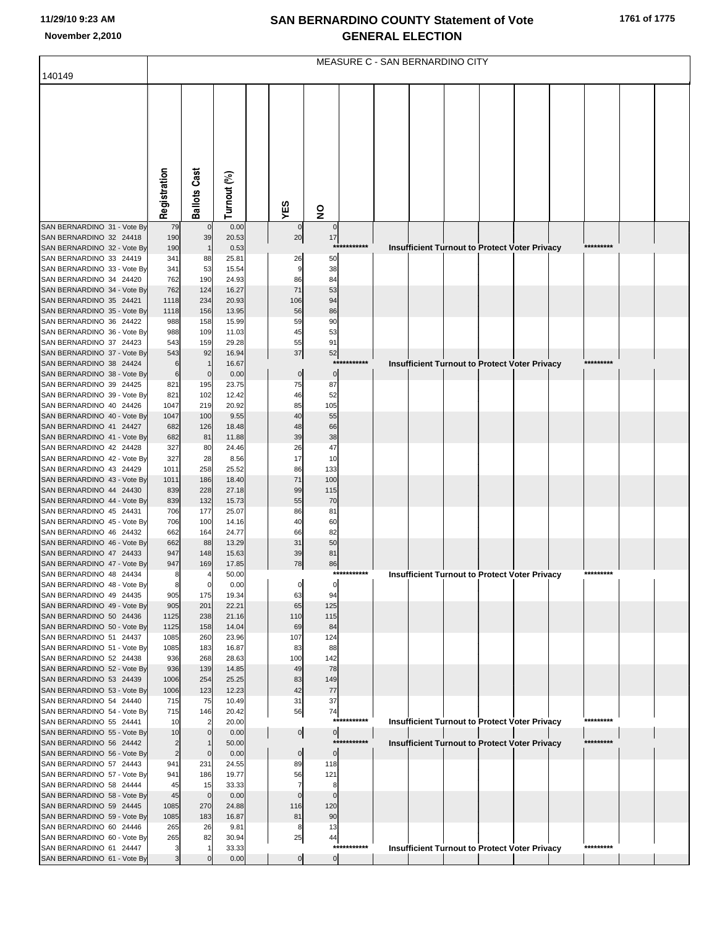|                                                        |                      |                     |                |     |                      |                 |             | MEASURE C - SAN BERNARDINO CITY |  |                                                      |            |  |
|--------------------------------------------------------|----------------------|---------------------|----------------|-----|----------------------|-----------------|-------------|---------------------------------|--|------------------------------------------------------|------------|--|
| 140149                                                 |                      |                     |                |     |                      |                 |             |                                 |  |                                                      |            |  |
|                                                        |                      |                     |                |     |                      |                 |             |                                 |  |                                                      |            |  |
|                                                        |                      |                     |                |     |                      |                 |             |                                 |  |                                                      |            |  |
|                                                        |                      |                     |                |     |                      |                 |             |                                 |  |                                                      |            |  |
|                                                        |                      |                     |                |     |                      |                 |             |                                 |  |                                                      |            |  |
|                                                        |                      |                     |                |     |                      |                 |             |                                 |  |                                                      |            |  |
|                                                        |                      |                     |                |     |                      |                 |             |                                 |  |                                                      |            |  |
|                                                        |                      |                     |                |     |                      |                 |             |                                 |  |                                                      |            |  |
|                                                        |                      |                     |                |     |                      |                 |             |                                 |  |                                                      |            |  |
|                                                        | Registration         | <b>Ballots Cast</b> | Turnout (%)    | YES |                      |                 |             |                                 |  |                                                      |            |  |
|                                                        |                      |                     |                |     |                      | $\frac{1}{2}$   |             |                                 |  |                                                      |            |  |
| SAN BERNARDINO 31 - Vote By<br>SAN BERNARDINO 32 24418 | 79<br>190            | 39                  | 0.00<br>20.53  |     | 20                   | $\pmb{0}$<br>17 |             |                                 |  |                                                      |            |  |
| SAN BERNARDINO 32 - Vote By                            | 190                  |                     | 0.53           |     |                      | $***$           |             |                                 |  | Insufficient Turnout to Protect Voter Privacy        | *********  |  |
| SAN BERNARDINO 33 24419                                | 341                  | 88                  | 25.81          |     | 26                   | 50              |             |                                 |  |                                                      |            |  |
| SAN BERNARDINO 33 - Vote By<br>SAN BERNARDINO 34 24420 | 341<br>762           | 53<br>190           | 15.54<br>24.93 |     | g<br>86              | 38<br>84        |             |                                 |  |                                                      |            |  |
| SAN BERNARDINO 34 - Vote By                            | 762                  | 124                 | 16.27          |     | 71                   | 53              |             |                                 |  |                                                      |            |  |
| SAN BERNARDINO 35 24421                                | 1118                 | 234                 | 20.93          |     | 106                  | 94              |             |                                 |  |                                                      |            |  |
| SAN BERNARDINO 35 - Vote By<br>SAN BERNARDINO 36 24422 | 1118<br>988          | 156<br>158          | 13.95<br>15.99 |     | 56<br>59             | 86<br>90        |             |                                 |  |                                                      |            |  |
| SAN BERNARDINO 36 - Vote By                            | 988                  | 109                 | 11.03          |     | 45                   | 53              |             |                                 |  |                                                      |            |  |
| SAN BERNARDINO 37 24423                                | 543                  | 159                 | 29.28          |     | 55                   | 91              |             |                                 |  |                                                      |            |  |
| SAN BERNARDINO 37 - Vote By<br>SAN BERNARDINO 38 24424 | 543<br>6             | 92                  | 16.94<br>16.67 |     | 37                   | 52<br>***       | ******      |                                 |  | <b>Insufficient Turnout to Protect Voter Privacy</b> | *********  |  |
| SAN BERNARDINO 38 - Vote By                            | 6                    | 0                   | 0.00           |     | $\pmb{0}$            | $\pmb{0}$       |             |                                 |  |                                                      |            |  |
| SAN BERNARDINO 39 24425                                | 821                  | 195                 | 23.75          |     | 75                   | 87              |             |                                 |  |                                                      |            |  |
| SAN BERNARDINO 39 - Vote By<br>SAN BERNARDINO 40 24426 | 821<br>1047          | 102<br>219          | 12.42<br>20.92 |     | 46<br>85             | 52<br>105       |             |                                 |  |                                                      |            |  |
| SAN BERNARDINO 40 - Vote By                            | 1047                 | 100                 | 9.55           |     | 40                   | 55              |             |                                 |  |                                                      |            |  |
| SAN BERNARDINO 41 24427                                | 682                  | 126                 | 18.48          |     | 48                   | 66              |             |                                 |  |                                                      |            |  |
| SAN BERNARDINO 41 - Vote By<br>SAN BERNARDINO 42 24428 | 682                  | 81<br>80            | 11.88          |     | 39<br>26             | 38<br>47        |             |                                 |  |                                                      |            |  |
| SAN BERNARDINO 42 - Vote By                            | 327<br>327           | 28                  | 24.46<br>8.56  |     | 17                   | 10              |             |                                 |  |                                                      |            |  |
| SAN BERNARDINO 43 24429                                | 1011                 | 258                 | 25.52          |     | 86                   | 133             |             |                                 |  |                                                      |            |  |
| SAN BERNARDINO 43 - Vote By<br>SAN BERNARDINO 44 24430 | 1011<br>839          | 186<br>228          | 18.40<br>27.18 |     | 71<br>99             | 100<br>115      |             |                                 |  |                                                      |            |  |
| SAN BERNARDINO 44 - Vote By                            | 839                  | 132                 | 15.73          |     | 55                   | 70              |             |                                 |  |                                                      |            |  |
| SAN BERNARDINO 45 24431                                | 706                  | 177                 | 25.07          |     | 86                   | 81              |             |                                 |  |                                                      |            |  |
| SAN BERNARDINO 45 - Vote By<br>SAN BERNARDINO 46 24432 | 706<br>662           | 100<br>164          | 14.16<br>24.77 |     | 40<br>66             | 60<br>82        |             |                                 |  |                                                      |            |  |
| SAN BERNARDINO 46 - Vote By                            | 662                  | 88                  | 13.29          |     | 31                   | 50              |             |                                 |  |                                                      |            |  |
| SAN BERNARDINO 47 24433                                | 947                  | 148                 | 15.63          |     | 39                   | 81              |             |                                 |  |                                                      |            |  |
| SAN BERNARDINO 47 - Vote By                            | 947<br>8             | 169                 | 17.85<br>50.00 |     | 78                   | 86              | *********** |                                 |  |                                                      | *********  |  |
| SAN BERNARDINO 48 24434<br>SAN BERNARDINO 48 - Vote By | 8                    |                     | 0.00           |     |                      |                 |             |                                 |  | <b>Insufficient Turnout to Protect Voter Privacy</b> |            |  |
| SAN BERNARDINO 49 24435                                | 905                  | 175                 | 19.34          |     | 63                   | 94              |             |                                 |  |                                                      |            |  |
| SAN BERNARDINO 49 - Vote By                            | 905                  | 201                 | 22.21          |     | 65                   | 125             |             |                                 |  |                                                      |            |  |
| SAN BERNARDINO 50 24436<br>SAN BERNARDINO 50 - Vote By | 1125<br>1125         | 238<br>158          | 21.16<br>14.04 |     | 110<br>69            | 115<br>84       |             |                                 |  |                                                      |            |  |
| SAN BERNARDINO 51 24437                                | 1085                 | 260                 | 23.96          |     | 107                  | 124             |             |                                 |  |                                                      |            |  |
| SAN BERNARDINO 51 - Vote By<br>SAN BERNARDINO 52 24438 | 1085<br>936          | 183<br>268          | 16.87<br>28.63 |     | 83<br>100            | 88<br>142       |             |                                 |  |                                                      |            |  |
| SAN BERNARDINO 52 - Vote By                            | 936                  | 139                 | 14.85          |     | 49                   | 78              |             |                                 |  |                                                      |            |  |
| SAN BERNARDINO 53 24439                                | 1006                 | 254                 | 25.25          |     | 83                   | 149             |             |                                 |  |                                                      |            |  |
| SAN BERNARDINO 53 - Vote By<br>SAN BERNARDINO 54 24440 | 1006<br>715          | 123<br>75           | 12.23<br>10.49 |     | 42<br>31             | 77<br>37        |             |                                 |  |                                                      |            |  |
| SAN BERNARDINO 54 - Vote By                            | 715                  | 146                 | 20.42          |     | 56                   | 74              |             |                                 |  |                                                      |            |  |
| SAN BERNARDINO 55 24441                                | 10                   |                     | 20.00          |     |                      |                 | *********** |                                 |  | <b>Insufficient Turnout to Protect Voter Privacy</b> | *********  |  |
| SAN BERNARDINO 55 - Vote By<br>SAN BERNARDINO 56 24442 | 10<br>$\overline{2}$ |                     | 0.00<br>50.00  |     | $\overline{0}$       | 0               | *********** |                                 |  | <b>Insufficient Turnout to Protect Voter Privacy</b> | ********** |  |
| SAN BERNARDINO 56 - Vote By                            | $\overline{c}$       | $\mathbf 0$         | 0.00           |     | $\pmb{0}$            | $\mathbf 0$     |             |                                 |  |                                                      |            |  |
| SAN BERNARDINO 57 24443                                | 941                  | 231                 | 24.55          |     | 89                   | 118             |             |                                 |  |                                                      |            |  |
| SAN BERNARDINO 57 - Vote By<br>SAN BERNARDINO 58 24444 | 941<br>45            | 186<br>15           | 19.77<br>33.33 |     | 56<br>$\overline{7}$ | 121<br>8        |             |                                 |  |                                                      |            |  |
| SAN BERNARDINO 58 - Vote By                            | 45                   | $\mathbf 0$         | 0.00           |     | $\Omega$             | $\Omega$        |             |                                 |  |                                                      |            |  |
| SAN BERNARDINO 59 24445                                | 1085                 | 270                 | 24.88          |     | 116                  | 120             |             |                                 |  |                                                      |            |  |
| SAN BERNARDINO 59 - Vote By<br>SAN BERNARDINO 60 24446 | 1085<br>265          | 183<br>26           | 16.87<br>9.81  |     | 81<br>8              | 90<br>13        |             |                                 |  |                                                      |            |  |
| SAN BERNARDINO 60 - Vote By                            | 265                  | 82                  | 30.94          |     | 25                   | 44              |             |                                 |  |                                                      |            |  |
| SAN BERNARDINO 61 24447                                |                      |                     | 33.33          |     |                      |                 | *********** |                                 |  | <b>Insufficient Turnout to Protect Voter Privacy</b> | *********  |  |
| SAN BERNARDINO 61 - Vote By                            | 3                    |                     | 0.00           |     | $\overline{0}$       | $\overline{0}$  |             |                                 |  |                                                      |            |  |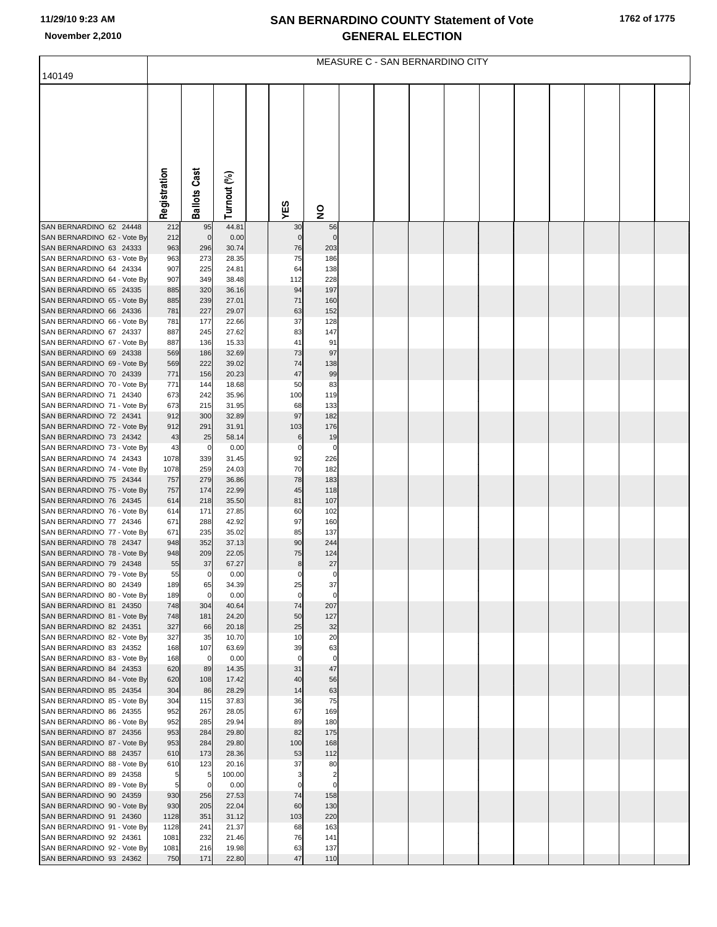|                                                        | MEASURE C - SAN BERNARDINO CITY |                     |                |  |             |                         |  |  |  |  |  |  |  |  |  |
|--------------------------------------------------------|---------------------------------|---------------------|----------------|--|-------------|-------------------------|--|--|--|--|--|--|--|--|--|
| 140149                                                 |                                 |                     |                |  |             |                         |  |  |  |  |  |  |  |  |  |
|                                                        |                                 |                     |                |  |             |                         |  |  |  |  |  |  |  |  |  |
|                                                        |                                 |                     |                |  |             |                         |  |  |  |  |  |  |  |  |  |
|                                                        |                                 |                     |                |  |             |                         |  |  |  |  |  |  |  |  |  |
|                                                        |                                 |                     |                |  |             |                         |  |  |  |  |  |  |  |  |  |
|                                                        |                                 |                     |                |  |             |                         |  |  |  |  |  |  |  |  |  |
|                                                        |                                 |                     |                |  |             |                         |  |  |  |  |  |  |  |  |  |
|                                                        |                                 |                     |                |  |             |                         |  |  |  |  |  |  |  |  |  |
|                                                        |                                 |                     |                |  |             |                         |  |  |  |  |  |  |  |  |  |
|                                                        |                                 |                     |                |  |             |                         |  |  |  |  |  |  |  |  |  |
|                                                        | Registration                    | <b>Ballots Cast</b> |                |  |             |                         |  |  |  |  |  |  |  |  |  |
|                                                        |                                 |                     | Turnout (%)    |  | YES         | $\overline{\mathbf{z}}$ |  |  |  |  |  |  |  |  |  |
| SAN BERNARDINO 62 24448                                | 212                             | 95                  | 44.81          |  | 30          | 56                      |  |  |  |  |  |  |  |  |  |
| SAN BERNARDINO 62 - Vote By                            | 212                             | $\mathbf 0$         | 0.00           |  |             | $\Omega$                |  |  |  |  |  |  |  |  |  |
| SAN BERNARDINO 63 24333<br>SAN BERNARDINO 63 - Vote By | 963                             | 296<br>273          | 30.74          |  | 76<br>75    | 203<br>186              |  |  |  |  |  |  |  |  |  |
| SAN BERNARDINO 64 24334                                | 963<br>907                      | 225                 | 28.35<br>24.81 |  | 64          | 138                     |  |  |  |  |  |  |  |  |  |
| SAN BERNARDINO 64 - Vote By                            | 907                             | 349                 | 38.48          |  | 112         | 228                     |  |  |  |  |  |  |  |  |  |
| SAN BERNARDINO 65 24335                                | 885                             | 320                 | 36.16          |  | 94          | 197                     |  |  |  |  |  |  |  |  |  |
| SAN BERNARDINO 65 - Vote By                            | 885                             | 239                 | 27.01          |  | 71          | 160                     |  |  |  |  |  |  |  |  |  |
| SAN BERNARDINO 66 24336<br>SAN BERNARDINO 66 - Vote By | 781<br>781                      | 227<br>177          | 29.07<br>22.66 |  | 63<br>37    | 152<br>128              |  |  |  |  |  |  |  |  |  |
| SAN BERNARDINO 67 24337                                | 887                             | 245                 | 27.62          |  | 83          | 147                     |  |  |  |  |  |  |  |  |  |
| SAN BERNARDINO 67 - Vote By                            | 887                             | 136                 | 15.33          |  | 41          | 91                      |  |  |  |  |  |  |  |  |  |
| SAN BERNARDINO 69 24338                                | 569                             | 186                 | 32.69          |  | 73          | 97                      |  |  |  |  |  |  |  |  |  |
| SAN BERNARDINO 69 - Vote By                            | 569                             | 222                 | 39.02          |  | 74          | 138                     |  |  |  |  |  |  |  |  |  |
| SAN BERNARDINO 70 24339<br>SAN BERNARDINO 70 - Vote By | 771                             | 156                 | 20.23          |  | 47<br>50    | 99                      |  |  |  |  |  |  |  |  |  |
| SAN BERNARDINO 71 24340                                | 771<br>673                      | 144<br>242          | 18.68<br>35.96 |  | 100         | 83<br>119               |  |  |  |  |  |  |  |  |  |
| SAN BERNARDINO 71 - Vote By                            | 673                             | 215                 | 31.95          |  | 68          | 133                     |  |  |  |  |  |  |  |  |  |
| SAN BERNARDINO 72 24341                                | 912                             | 300                 | 32.89          |  | 97          | 182                     |  |  |  |  |  |  |  |  |  |
| SAN BERNARDINO 72 - Vote By                            | 912                             | 291                 | 31.91          |  | 103         | 176                     |  |  |  |  |  |  |  |  |  |
| SAN BERNARDINO 73 24342<br>SAN BERNARDINO 73 - Vote By | 43<br>43                        | 25<br>$\mathbf 0$   | 58.14<br>0.00  |  | 6<br>0      | 19<br>0                 |  |  |  |  |  |  |  |  |  |
| SAN BERNARDINO 74 24343                                | 1078                            | 339                 | 31.45          |  | 92          | 226                     |  |  |  |  |  |  |  |  |  |
| SAN BERNARDINO 74 - Vote By                            | 1078                            | 259                 | 24.03          |  | 70          | 182                     |  |  |  |  |  |  |  |  |  |
| SAN BERNARDINO 75 24344                                | 757                             | 279                 | 36.86          |  | 78          | 183                     |  |  |  |  |  |  |  |  |  |
| SAN BERNARDINO 75 - Vote By                            | 757                             | 174                 | 22.99          |  | 45          | 118                     |  |  |  |  |  |  |  |  |  |
| SAN BERNARDINO 76 24345<br>SAN BERNARDINO 76 - Vote By | 614<br>614                      | 218<br>171          | 35.50<br>27.85 |  | 81<br>60    | 107<br>102              |  |  |  |  |  |  |  |  |  |
| SAN BERNARDINO 77 24346                                | 671                             | 288                 | 42.92          |  | 97          | 160                     |  |  |  |  |  |  |  |  |  |
| SAN BERNARDINO 77 - Vote By                            | 671                             | 235                 | 35.02          |  | 85          | 137                     |  |  |  |  |  |  |  |  |  |
| SAN BERNARDINO 78 24347                                | 948                             | 352                 | 37.13          |  | 90          | 244                     |  |  |  |  |  |  |  |  |  |
| SAN BERNARDINO 78 - Vote By<br>SAN BERNARDINO 79 24348 | 948<br>55                       | 209<br>37           | 22.05<br>67.27 |  | 75<br>8     | 124<br>27               |  |  |  |  |  |  |  |  |  |
| SAN BERNARDINO 79 - Vote By                            | 55                              | $\overline{0}$      | 0.00           |  | 0           | $\pmb{0}$               |  |  |  |  |  |  |  |  |  |
| SAN BERNARDINO 80 24349                                | 189                             | 65                  | 34.39          |  | 25          | 37                      |  |  |  |  |  |  |  |  |  |
| SAN BERNARDINO 80 - Vote By                            | 189                             | $\mathbf 0$         | 0.00           |  | $\mathbf 0$ | $\mathbf 0$             |  |  |  |  |  |  |  |  |  |
| SAN BERNARDINO 81 24350                                | 748                             | 304                 | 40.64          |  | 74          | 207                     |  |  |  |  |  |  |  |  |  |
| SAN BERNARDINO 81 - Vote By<br>SAN BERNARDINO 82 24351 | 748<br>327                      | 181<br>66           | 24.20<br>20.18 |  | 50<br>25    | 127<br>32               |  |  |  |  |  |  |  |  |  |
| SAN BERNARDINO 82 - Vote By                            | 327                             | 35                  | 10.70          |  | 10          | 20                      |  |  |  |  |  |  |  |  |  |
| SAN BERNARDINO 83 24352                                | 168                             | 107                 | 63.69          |  | 39          | 63                      |  |  |  |  |  |  |  |  |  |
| SAN BERNARDINO 83 - Vote By                            | 168                             | $\overline{0}$      | 0.00           |  | $\mathbf 0$ | $\mathbf 0$             |  |  |  |  |  |  |  |  |  |
| SAN BERNARDINO 84 24353                                | 620                             | 89                  | 14.35          |  | 31          | 47                      |  |  |  |  |  |  |  |  |  |
| SAN BERNARDINO 84 - Vote By<br>SAN BERNARDINO 85 24354 | 620<br>304                      | 108<br>86           | 17.42<br>28.29 |  | 40<br>14    | 56<br>63                |  |  |  |  |  |  |  |  |  |
| SAN BERNARDINO 85 - Vote By                            | 304                             | 115                 | 37.83          |  | 36          | 75                      |  |  |  |  |  |  |  |  |  |
| SAN BERNARDINO 86 24355                                | 952                             | 267                 | 28.05          |  | 67          | 169                     |  |  |  |  |  |  |  |  |  |
| SAN BERNARDINO 86 - Vote By                            | 952                             | 285                 | 29.94          |  | 89          | 180                     |  |  |  |  |  |  |  |  |  |
| SAN BERNARDINO 87 24356                                | 953                             | 284                 | 29.80          |  | 82          | 175                     |  |  |  |  |  |  |  |  |  |
| SAN BERNARDINO 87 - Vote By<br>SAN BERNARDINO 88 24357 | 953<br>610                      | 284<br>173          | 29.80<br>28.36 |  | 100<br>53   | 168<br>112              |  |  |  |  |  |  |  |  |  |
| SAN BERNARDINO 88 - Vote By                            | 610                             | 123                 | 20.16          |  | 37          | 80                      |  |  |  |  |  |  |  |  |  |
| SAN BERNARDINO 89 24358                                | 5                               | 5                   | 100.00         |  | 3           | $\overline{2}$          |  |  |  |  |  |  |  |  |  |
| SAN BERNARDINO 89 - Vote By                            | 5                               | $\mathbf 0$         | 0.00           |  | $\Omega$    | $\mathbf 0$             |  |  |  |  |  |  |  |  |  |
| SAN BERNARDINO 90 24359                                | 930                             | 256                 | 27.53          |  | 74          | 158                     |  |  |  |  |  |  |  |  |  |
| SAN BERNARDINO 90 - Vote By<br>SAN BERNARDINO 91 24360 | 930<br>1128                     | 205<br>351          | 22.04<br>31.12 |  | 60<br>103   | 130<br>220              |  |  |  |  |  |  |  |  |  |
| SAN BERNARDINO 91 - Vote By                            | 1128                            | 241                 | 21.37          |  | 68          | 163                     |  |  |  |  |  |  |  |  |  |
| SAN BERNARDINO 92 24361                                | 1081                            | 232                 | 21.46          |  | 76          | 141                     |  |  |  |  |  |  |  |  |  |
| SAN BERNARDINO 92 - Vote By                            | 1081                            | 216                 | 19.98          |  | 63          | 137                     |  |  |  |  |  |  |  |  |  |
| SAN BERNARDINO 93 24362                                | 750                             | 171                 | 22.80          |  | 47          | 110                     |  |  |  |  |  |  |  |  |  |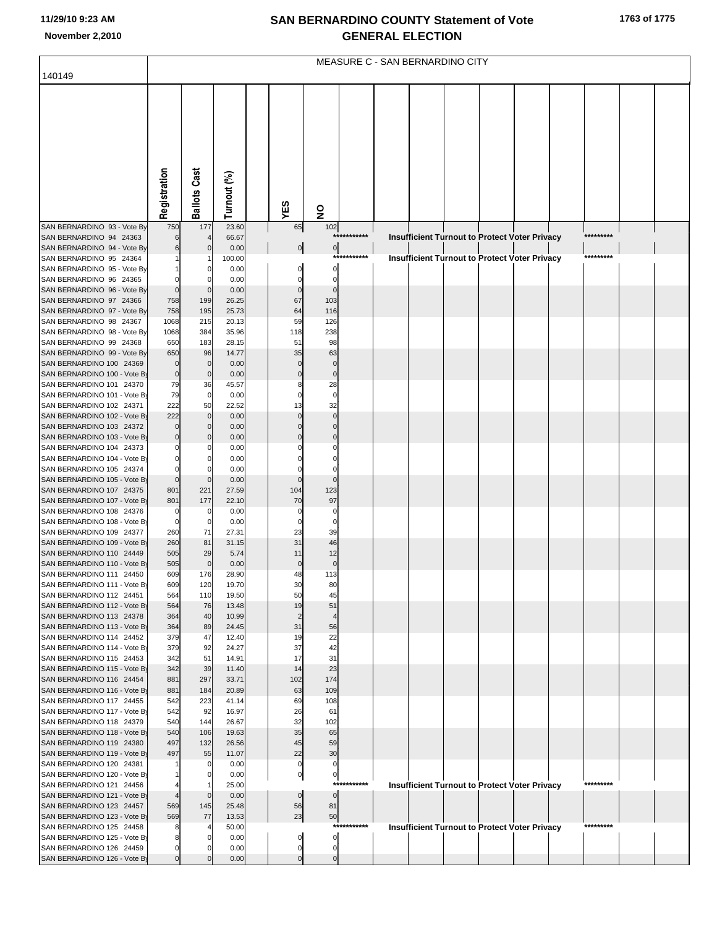|                                                          | MEASURE C - SAN BERNARDINO CITY |                      |                |  |                   |                         |             |  |  |  |  |                                                      |           |  |  |
|----------------------------------------------------------|---------------------------------|----------------------|----------------|--|-------------------|-------------------------|-------------|--|--|--|--|------------------------------------------------------|-----------|--|--|
| 140149                                                   |                                 |                      |                |  |                   |                         |             |  |  |  |  |                                                      |           |  |  |
|                                                          |                                 |                      |                |  |                   |                         |             |  |  |  |  |                                                      |           |  |  |
|                                                          |                                 |                      |                |  |                   |                         |             |  |  |  |  |                                                      |           |  |  |
|                                                          |                                 |                      |                |  |                   |                         |             |  |  |  |  |                                                      |           |  |  |
|                                                          |                                 |                      |                |  |                   |                         |             |  |  |  |  |                                                      |           |  |  |
|                                                          |                                 |                      |                |  |                   |                         |             |  |  |  |  |                                                      |           |  |  |
|                                                          |                                 |                      |                |  |                   |                         |             |  |  |  |  |                                                      |           |  |  |
|                                                          |                                 |                      |                |  |                   |                         |             |  |  |  |  |                                                      |           |  |  |
|                                                          |                                 |                      |                |  |                   |                         |             |  |  |  |  |                                                      |           |  |  |
|                                                          |                                 |                      |                |  |                   |                         |             |  |  |  |  |                                                      |           |  |  |
|                                                          | Registration                    | <b>Ballots Cast</b>  | Turnout (%)    |  |                   |                         |             |  |  |  |  |                                                      |           |  |  |
|                                                          |                                 |                      |                |  | YES               | $\overline{\mathbf{z}}$ |             |  |  |  |  |                                                      |           |  |  |
| SAN BERNARDINO 93 - Vote By                              | 750                             | 177                  | 23.60          |  | 65                | 102                     |             |  |  |  |  |                                                      |           |  |  |
| SAN BERNARDINO 94 24363                                  |                                 |                      | 66.67          |  |                   |                         | *********** |  |  |  |  | Insufficient Turnout to Protect Voter Privacy        | ********* |  |  |
| SAN BERNARDINO 94 - Vote By                              |                                 |                      | 0.00           |  | $\overline{0}$    | $\overline{0}$<br>***   |             |  |  |  |  |                                                      | ********* |  |  |
| SAN BERNARDINO 95 24364<br>SAN BERNARDINO 95 - Vote By   |                                 |                      | 100.00<br>0.00 |  |                   | $\Omega$                |             |  |  |  |  | <b>Insufficient Turnout to Protect Voter Privacy</b> |           |  |  |
| SAN BERNARDINO 96 24365                                  | 0                               |                      | 0.00           |  |                   | 0                       |             |  |  |  |  |                                                      |           |  |  |
| SAN BERNARDINO 96 - Vote By                              | $\mathbf 0$                     |                      | 0.00           |  | 0                 | $\mathbf 0$             |             |  |  |  |  |                                                      |           |  |  |
| SAN BERNARDINO 97 24366                                  | 758                             | 199                  | 26.25          |  | 67                | 103                     |             |  |  |  |  |                                                      |           |  |  |
| SAN BERNARDINO 97 - Vote By                              | 758                             | 195                  | 25.73          |  | 64                | 116                     |             |  |  |  |  |                                                      |           |  |  |
| SAN BERNARDINO 98 24367<br>SAN BERNARDINO 98 - Vote By   | 1068<br>1068                    | 215<br>384           | 20.13<br>35.96 |  | 59<br>118         | 126<br>238              |             |  |  |  |  |                                                      |           |  |  |
| SAN BERNARDINO 99 24368                                  | 650                             | 183                  | 28.15          |  | 51                | 98                      |             |  |  |  |  |                                                      |           |  |  |
| SAN BERNARDINO 99 - Vote By                              | 650                             | 96                   | 14.77          |  | 35                | 63                      |             |  |  |  |  |                                                      |           |  |  |
| SAN BERNARDINO 100 24369                                 | $\mathbf 0$                     | $\mathbf 0$          | 0.00           |  |                   | $\mathbf 0$             |             |  |  |  |  |                                                      |           |  |  |
| SAN BERNARDINO 100 - Vote By                             | $\mathbf 0$                     | $\mathbf 0$          | 0.00           |  |                   | $\pmb{0}$               |             |  |  |  |  |                                                      |           |  |  |
| SAN BERNARDINO 101 24370<br>SAN BERNARDINO 101 - Vote By | 79<br>79                        | 36<br>$\overline{0}$ | 45.57<br>0.00  |  |                   | 28<br>$\pmb{0}$         |             |  |  |  |  |                                                      |           |  |  |
| SAN BERNARDINO 102 24371                                 | 222                             | 50                   | 22.52          |  | 13                | 32                      |             |  |  |  |  |                                                      |           |  |  |
| SAN BERNARDINO 102 - Vote By                             | 222                             | $\mathbf 0$          | 0.00           |  |                   | $\Omega$                |             |  |  |  |  |                                                      |           |  |  |
| SAN BERNARDINO 103 24372                                 |                                 | 0                    | 0.00           |  |                   |                         |             |  |  |  |  |                                                      |           |  |  |
| SAN BERNARDINO 103 - Vote By                             |                                 |                      | 0.00           |  |                   |                         |             |  |  |  |  |                                                      |           |  |  |
| SAN BERNARDINO 104 24373<br>SAN BERNARDINO 104 - Vote By |                                 |                      | 0.00<br>0.00   |  |                   |                         |             |  |  |  |  |                                                      |           |  |  |
| SAN BERNARDINO 105 24374                                 | 0                               |                      | 0.00           |  |                   |                         |             |  |  |  |  |                                                      |           |  |  |
| SAN BERNARDINO 105 - Vote By                             | $\mathbf 0$                     | 0                    | 0.00           |  | $\Omega$          | $\Omega$                |             |  |  |  |  |                                                      |           |  |  |
| SAN BERNARDINO 107 24375                                 | 801                             | 221                  | 27.59          |  | 104               | 123                     |             |  |  |  |  |                                                      |           |  |  |
| SAN BERNARDINO 107 - Vote By                             | 801                             | 177                  | 22.10          |  | 70                | 97                      |             |  |  |  |  |                                                      |           |  |  |
| SAN BERNARDINO 108 24376<br>SAN BERNARDINO 108 - Vote By | 0<br>$\mathbf 0$                | 0<br>$\Omega$        | 0.00<br>0.00   |  | 0<br>0            | 0<br>0                  |             |  |  |  |  |                                                      |           |  |  |
| SAN BERNARDINO 109 24377                                 | 260                             | 71                   | 27.31          |  | 23                | 39                      |             |  |  |  |  |                                                      |           |  |  |
| SAN BERNARDINO 109 - Vote By                             | 260                             | 81                   | 31.15          |  | 31                | 46                      |             |  |  |  |  |                                                      |           |  |  |
| SAN BERNARDINO 110 24449                                 | 505                             | 29                   | 5.74           |  | 11                | 12                      |             |  |  |  |  |                                                      |           |  |  |
| SAN BERNARDINO 110 - Vote By                             | 505<br>609                      | $\Omega$<br>176      | 0.00<br>28.90  |  | $\mathbf 0$<br>48 | $\pmb{0}$<br>113        |             |  |  |  |  |                                                      |           |  |  |
| SAN BERNARDINO 111 24450<br>SAN BERNARDINO 111 - Vote By | 609                             | 120                  | 19.70          |  | 30                | 80                      |             |  |  |  |  |                                                      |           |  |  |
| SAN BERNARDINO 112 24451                                 | 564                             | 110                  | 19.50          |  | 50                | 45                      |             |  |  |  |  |                                                      |           |  |  |
| SAN BERNARDINO 112 - Vote By                             | 564                             | 76                   | 13.48          |  | 19                | 51                      |             |  |  |  |  |                                                      |           |  |  |
| SAN BERNARDINO 113 24378                                 | 364                             | 40                   | 10.99          |  | $\overline{2}$    | $\overline{4}$          |             |  |  |  |  |                                                      |           |  |  |
| SAN BERNARDINO 113 - Vote By<br>SAN BERNARDINO 114 24452 | 364<br>379                      | 89<br>47             | 24.45<br>12.40 |  | 31<br>19          | 56<br>22                |             |  |  |  |  |                                                      |           |  |  |
| SAN BERNARDINO 114 - Vote By                             | 379                             | 92                   | 24.27          |  | 37                | 42                      |             |  |  |  |  |                                                      |           |  |  |
| SAN BERNARDINO 115 24453                                 | 342                             | 51                   | 14.91          |  | 17                | 31                      |             |  |  |  |  |                                                      |           |  |  |
| SAN BERNARDINO 115 - Vote By                             | 342                             | 39                   | 11.40          |  | 14                | 23                      |             |  |  |  |  |                                                      |           |  |  |
| SAN BERNARDINO 116 24454                                 | 881                             | 297                  | 33.71          |  | 102               | 174                     |             |  |  |  |  |                                                      |           |  |  |
| SAN BERNARDINO 116 - Vote By<br>SAN BERNARDINO 117 24455 | 881<br>542                      | 184<br>223           | 20.89<br>41.14 |  | 63<br>69          | 109<br>108              |             |  |  |  |  |                                                      |           |  |  |
| SAN BERNARDINO 117 - Vote By                             | 542                             | 92                   | 16.97          |  | 26                | 61                      |             |  |  |  |  |                                                      |           |  |  |
| SAN BERNARDINO 118 24379                                 | 540                             | 144                  | 26.67          |  | 32                | 102                     |             |  |  |  |  |                                                      |           |  |  |
| SAN BERNARDINO 118 - Vote By                             | 540                             | 106                  | 19.63          |  | 35                | 65                      |             |  |  |  |  |                                                      |           |  |  |
| SAN BERNARDINO 119 24380                                 | 497                             | 132                  | 26.56          |  | 45                | 59                      |             |  |  |  |  |                                                      |           |  |  |
| SAN BERNARDINO 119 - Vote By<br>SAN BERNARDINO 120 24381 | 497                             | 55<br>0              | 11.07<br>0.00  |  | 22<br>0           | 30<br>$\mathbf 0$       |             |  |  |  |  |                                                      |           |  |  |
| SAN BERNARDINO 120 - Vote By                             |                                 | 0                    | 0.00           |  | $\circ$           | $\mathbf{0}$            |             |  |  |  |  |                                                      |           |  |  |
| SAN BERNARDINO 121 24456                                 |                                 |                      | 25.00          |  |                   |                         | *********** |  |  |  |  | <b>Insufficient Turnout to Protect Voter Privacy</b> | ********* |  |  |
| SAN BERNARDINO 121 - Vote By                             |                                 | $\mathbf 0$          | 0.00           |  | $\mathbf 0$       | $\overline{0}$          |             |  |  |  |  |                                                      |           |  |  |
| SAN BERNARDINO 123 24457                                 | 569                             | 145                  | 25.48          |  | 56                | 81                      |             |  |  |  |  |                                                      |           |  |  |
| SAN BERNARDINO 123 - Vote By<br>SAN BERNARDINO 125 24458 | 569<br>8                        | 77                   | 13.53<br>50.00 |  | 23                | 50                      | *********** |  |  |  |  | <b>Insufficient Turnout to Protect Voter Privacy</b> | ********* |  |  |
| SAN BERNARDINO 125 - Vote By                             | 8                               | 0                    | 0.00           |  | 0                 | 0                       |             |  |  |  |  |                                                      |           |  |  |
| SAN BERNARDINO 126 24459                                 | $\mathbf 0$                     | $\mathbf{0}$         | 0.00           |  | $\mathbf 0$       | $\overline{0}$          |             |  |  |  |  |                                                      |           |  |  |
| SAN BERNARDINO 126 - Vote By                             | $\mathbf 0$                     | $\Omega$             | 0.00           |  | $\mathbf 0$       | $\overline{0}$          |             |  |  |  |  |                                                      |           |  |  |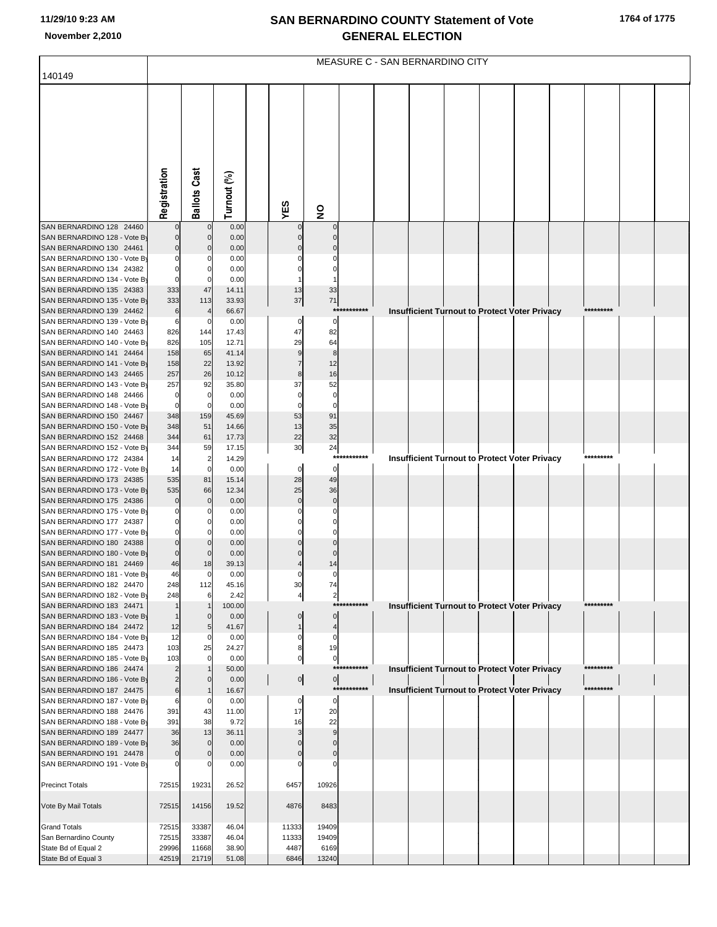|                                                          | MEASURE C - SAN BERNARDINO CITY  |                     |                |  |                   |                               |             |  |  |  |  |                                                      |  |           |  |  |
|----------------------------------------------------------|----------------------------------|---------------------|----------------|--|-------------------|-------------------------------|-------------|--|--|--|--|------------------------------------------------------|--|-----------|--|--|
| 140149                                                   |                                  |                     |                |  |                   |                               |             |  |  |  |  |                                                      |  |           |  |  |
|                                                          |                                  |                     |                |  |                   |                               |             |  |  |  |  |                                                      |  |           |  |  |
|                                                          |                                  |                     |                |  |                   |                               |             |  |  |  |  |                                                      |  |           |  |  |
|                                                          |                                  |                     |                |  |                   |                               |             |  |  |  |  |                                                      |  |           |  |  |
|                                                          |                                  |                     |                |  |                   |                               |             |  |  |  |  |                                                      |  |           |  |  |
|                                                          |                                  |                     |                |  |                   |                               |             |  |  |  |  |                                                      |  |           |  |  |
|                                                          |                                  |                     |                |  |                   |                               |             |  |  |  |  |                                                      |  |           |  |  |
|                                                          |                                  |                     |                |  |                   |                               |             |  |  |  |  |                                                      |  |           |  |  |
|                                                          |                                  |                     |                |  |                   |                               |             |  |  |  |  |                                                      |  |           |  |  |
|                                                          |                                  |                     |                |  |                   |                               |             |  |  |  |  |                                                      |  |           |  |  |
|                                                          | Registration                     | <b>Ballots Cast</b> | Turnout (%)    |  | YES               | $\overline{\mathbf{z}}$       |             |  |  |  |  |                                                      |  |           |  |  |
| SAN BERNARDINO 128 24460                                 |                                  |                     | 0.00           |  |                   |                               |             |  |  |  |  |                                                      |  |           |  |  |
| SAN BERNARDINO 128 - Vote By                             |                                  | 0                   | 0.00           |  |                   |                               |             |  |  |  |  |                                                      |  |           |  |  |
| SAN BERNARDINO 130 24461                                 | $\Omega$                         |                     | 0.00           |  |                   |                               |             |  |  |  |  |                                                      |  |           |  |  |
| SAN BERNARDINO 130 - Vote By                             |                                  |                     | 0.00           |  |                   |                               |             |  |  |  |  |                                                      |  |           |  |  |
| SAN BERNARDINO 134 24382                                 |                                  |                     | 0.00           |  |                   |                               |             |  |  |  |  |                                                      |  |           |  |  |
| SAN BERNARDINO 134 - Vote By<br>SAN BERNARDINO 135 24383 | 333                              | 47                  | 0.00<br>14.11  |  | 13                | 33                            |             |  |  |  |  |                                                      |  |           |  |  |
| SAN BERNARDINO 135 - Vote By                             | 333                              | 113                 | 33.93          |  | 37                | $\bf 71$                      |             |  |  |  |  |                                                      |  |           |  |  |
| SAN BERNARDINO 139 24462                                 | 6                                |                     | 66.67          |  |                   | $***$                         | *******     |  |  |  |  | <b>Insufficient Turnout to Protect Voter Privacy</b> |  | ********* |  |  |
| SAN BERNARDINO 139 - Vote By                             | 6                                | 0                   | 0.00           |  | 0                 | 0                             |             |  |  |  |  |                                                      |  |           |  |  |
| SAN BERNARDINO 140 24463                                 | 826                              | 144                 | 17.43          |  | 47                | 82                            |             |  |  |  |  |                                                      |  |           |  |  |
| SAN BERNARDINO 140 - Vote By<br>SAN BERNARDINO 141 24464 | 826<br>158                       | 105<br>65           | 12.71<br>41.14 |  | 29<br>9           | 64<br>8                       |             |  |  |  |  |                                                      |  |           |  |  |
| SAN BERNARDINO 141 - Vote By                             | 158                              | 22                  | 13.92          |  |                   | 12                            |             |  |  |  |  |                                                      |  |           |  |  |
| SAN BERNARDINO 143 24465                                 | 257                              | 26                  | 10.12          |  | 8                 | 16                            |             |  |  |  |  |                                                      |  |           |  |  |
| SAN BERNARDINO 143 - Vote By                             | 257                              | 92                  | 35.80          |  | 37                | 52                            |             |  |  |  |  |                                                      |  |           |  |  |
| SAN BERNARDINO 148 24466                                 | 0<br>$\Omega$                    | 0                   | 0.00           |  | 0                 | 0<br>$\Omega$                 |             |  |  |  |  |                                                      |  |           |  |  |
| SAN BERNARDINO 148 - Vote By<br>SAN BERNARDINO 150 24467 | 348                              | 159                 | 0.00<br>45.69  |  | 53                | 91                            |             |  |  |  |  |                                                      |  |           |  |  |
| SAN BERNARDINO 150 - Vote By                             | 348                              | 51                  | 14.66          |  | 13                | 35                            |             |  |  |  |  |                                                      |  |           |  |  |
| SAN BERNARDINO 152 24468                                 | 344                              | 61                  | 17.73          |  | 22                | 32                            |             |  |  |  |  |                                                      |  |           |  |  |
| SAN BERNARDINO 152 - Vote By                             | 344                              | 59                  | 17.15          |  | 30                | 24                            |             |  |  |  |  |                                                      |  | ********* |  |  |
| SAN BERNARDINO 172 24384<br>SAN BERNARDINO 172 - Vote By | 14<br>14                         | $\overline{2}$<br>0 | 14.29<br>0.00  |  | 0                 | ***<br>$\mathbf 0$            |             |  |  |  |  | <b>Insufficient Turnout to Protect Voter Privacy</b> |  |           |  |  |
| SAN BERNARDINO 173 24385                                 | 535                              | 81                  | 15.14          |  | 28                | 49                            |             |  |  |  |  |                                                      |  |           |  |  |
| SAN BERNARDINO 173 - Vote By                             | 535                              | 66                  | 12.34          |  | 25                | 36                            |             |  |  |  |  |                                                      |  |           |  |  |
| SAN BERNARDINO 175 24386                                 | $\Omega$                         | $\Omega$            | 0.00           |  | $\Omega$          | $\mathbf 0$                   |             |  |  |  |  |                                                      |  |           |  |  |
| SAN BERNARDINO 175 - Vote By<br>SAN BERNARDINO 177 24387 |                                  |                     | 0.00<br>0.00   |  |                   |                               |             |  |  |  |  |                                                      |  |           |  |  |
| SAN BERNARDINO 177 - Vote By                             |                                  |                     | 0.00           |  |                   |                               |             |  |  |  |  |                                                      |  |           |  |  |
| SAN BERNARDINO 180 24388                                 |                                  |                     | 0.00           |  |                   |                               |             |  |  |  |  |                                                      |  |           |  |  |
| SAN BERNARDINO 180 - Vote By                             | $\Omega$                         |                     | 0.00           |  |                   |                               |             |  |  |  |  |                                                      |  |           |  |  |
| SAN BERNARDINO 181 24469                                 | 46                               | 18                  | 39.13          |  |                   | 14                            |             |  |  |  |  |                                                      |  |           |  |  |
| SAN BERNARDINO 181 - Vote By<br>SAN BERNARDINO 182 24470 | 46<br>248                        | 112                 | 0.00<br>45.16  |  | 30                | $\Omega$<br>74                |             |  |  |  |  |                                                      |  |           |  |  |
| SAN BERNARDINO 182 - Vote By                             | 248                              |                     | 2.42           |  | 4                 | $\overline{\mathbf{c}}$       |             |  |  |  |  |                                                      |  |           |  |  |
| SAN BERNARDINO 183 24471                                 | $\mathbf 1$                      |                     | 100.00         |  |                   | ***                           |             |  |  |  |  | <b>Insufficient Turnout to Protect Voter Privacy</b> |  | ********* |  |  |
| SAN BERNARDINO 183 - Vote By                             | $\mathbf{1}$                     | $\mathbf{0}$        | 0.00           |  | $\Omega$          | $\mathbf 0$                   |             |  |  |  |  |                                                      |  |           |  |  |
| SAN BERNARDINO 184 24472<br>SAN BERNARDINO 184 - Vote By | 12<br>12                         | 5<br>$\Omega$       | 41.67<br>0.00  |  | $\mathbf{1}$<br>0 | $\overline{4}$<br>$\mathbf 0$ |             |  |  |  |  |                                                      |  |           |  |  |
| SAN BERNARDINO 185 24473                                 | 103                              | 25                  | 24.27          |  | 8                 | 19                            |             |  |  |  |  |                                                      |  |           |  |  |
| SAN BERNARDINO 185 - Vote By                             | 103                              |                     | 0.00           |  | $\mathbf 0$       | $\pmb{0}$                     |             |  |  |  |  |                                                      |  |           |  |  |
| SAN BERNARDINO 186 24474                                 | $\overline{2}$                   |                     | 50.00          |  |                   |                               | *********** |  |  |  |  | Insufficient Turnout to Protect Voter Privacy        |  | ********* |  |  |
| SAN BERNARDINO 186 - Vote By<br>SAN BERNARDINO 187 24475 | $\overline{2}$<br>$6\phantom{1}$ |                     | 0.00<br>16.67  |  | $\overline{0}$    | $\overline{0}$                | *********** |  |  |  |  | <b>Insufficient Turnout to Protect Voter Privacy</b> |  | ********* |  |  |
| SAN BERNARDINO 187 - Vote By                             | 6                                |                     | 0.00           |  | $\Omega$          | $\mathbf 0$                   |             |  |  |  |  |                                                      |  |           |  |  |
| SAN BERNARDINO 188 24476                                 | 391                              | 43                  | 11.00          |  | 17                | 20                            |             |  |  |  |  |                                                      |  |           |  |  |
| SAN BERNARDINO 188 - Vote By                             | 391                              | 38                  | 9.72           |  | 16                | 22                            |             |  |  |  |  |                                                      |  |           |  |  |
| SAN BERNARDINO 189 24477<br>SAN BERNARDINO 189 - Vote By | 36<br>36                         | 13<br>$\mathbf{0}$  | 36.11<br>0.00  |  |                   | 9<br>$\Omega$                 |             |  |  |  |  |                                                      |  |           |  |  |
| SAN BERNARDINO 191 24478                                 | $\mathbf 0$                      | $\Omega$            | 0.00           |  |                   | $\Omega$                      |             |  |  |  |  |                                                      |  |           |  |  |
| SAN BERNARDINO 191 - Vote By                             |                                  |                     | 0.00           |  |                   |                               |             |  |  |  |  |                                                      |  |           |  |  |
|                                                          |                                  |                     |                |  |                   |                               |             |  |  |  |  |                                                      |  |           |  |  |
| <b>Precinct Totals</b>                                   | 72515                            | 19231               | 26.52          |  | 6457              | 10926                         |             |  |  |  |  |                                                      |  |           |  |  |
| Vote By Mail Totals                                      | 72515                            | 14156               | 19.52          |  | 4876              | 8483                          |             |  |  |  |  |                                                      |  |           |  |  |
| <b>Grand Totals</b>                                      | 72515                            | 33387               | 46.04          |  | 11333             | 19409                         |             |  |  |  |  |                                                      |  |           |  |  |
| San Bernardino County                                    | 72515                            | 33387               | 46.04          |  | 11333             | 19409                         |             |  |  |  |  |                                                      |  |           |  |  |
| State Bd of Equal 2                                      | 29996                            | 11668               | 38.90          |  | 4487              | 6169                          |             |  |  |  |  |                                                      |  |           |  |  |
| State Bd of Equal 3                                      | 42519                            | 21719               | 51.08          |  | 6846              | 13240                         |             |  |  |  |  |                                                      |  |           |  |  |